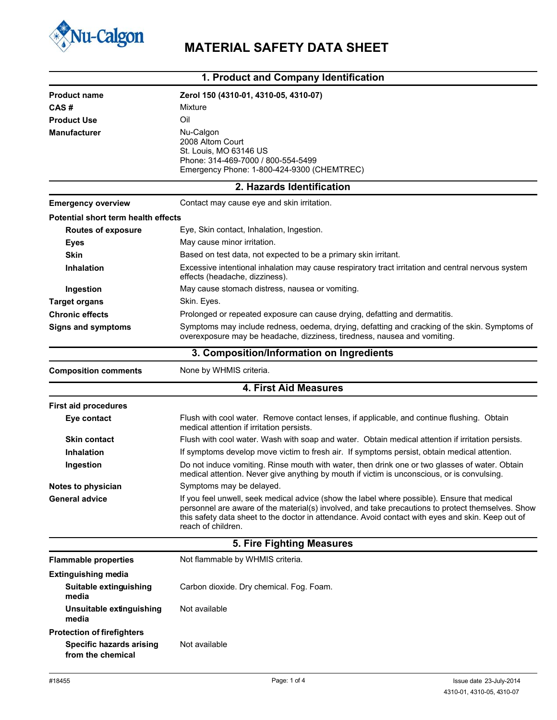

## **Nu-Calgon** MATERIAL SAFETY DATA SHEET

| 1. Product and Company Identification |                                                                                                                                                                                                                                                                                                                              |  |  |  |  |
|---------------------------------------|------------------------------------------------------------------------------------------------------------------------------------------------------------------------------------------------------------------------------------------------------------------------------------------------------------------------------|--|--|--|--|
| <b>Product name</b>                   | Zerol 150 (4310-01, 4310-05, 4310-07)                                                                                                                                                                                                                                                                                        |  |  |  |  |
| CAS#                                  | Mixture                                                                                                                                                                                                                                                                                                                      |  |  |  |  |
| <b>Product Use</b>                    | Oil                                                                                                                                                                                                                                                                                                                          |  |  |  |  |
| <b>Manufacturer</b>                   | Nu-Calgon<br>2008 Altom Court<br>St. Louis, MO 63146 US                                                                                                                                                                                                                                                                      |  |  |  |  |
|                                       | Phone: 314-469-7000 / 800-554-5499<br>Emergency Phone: 1-800-424-9300 (CHEMTREC)                                                                                                                                                                                                                                             |  |  |  |  |
|                                       | 2. Hazards Identification                                                                                                                                                                                                                                                                                                    |  |  |  |  |
| <b>Emergency overview</b>             | Contact may cause eye and skin irritation.                                                                                                                                                                                                                                                                                   |  |  |  |  |
| Potential short term health effects   |                                                                                                                                                                                                                                                                                                                              |  |  |  |  |
| Routes of exposure                    | Eye, Skin contact, Inhalation, Ingestion.                                                                                                                                                                                                                                                                                    |  |  |  |  |
| <b>Eyes</b>                           | May cause minor irritation.                                                                                                                                                                                                                                                                                                  |  |  |  |  |
| <b>Skin</b>                           | Based on test data, not expected to be a primary skin irritant.                                                                                                                                                                                                                                                              |  |  |  |  |
| <b>Inhalation</b>                     | Excessive intentional inhalation may cause respiratory tract irritation and central nervous system<br>effects (headache, dizziness).                                                                                                                                                                                         |  |  |  |  |
| Ingestion                             | May cause stomach distress, nausea or vomiting.                                                                                                                                                                                                                                                                              |  |  |  |  |
| <b>Target organs</b>                  | Skin. Eyes.                                                                                                                                                                                                                                                                                                                  |  |  |  |  |
| <b>Chronic effects</b>                | Prolonged or repeated exposure can cause drying, defatting and dermatitis.                                                                                                                                                                                                                                                   |  |  |  |  |
| <b>Signs and symptoms</b>             | Symptoms may include redness, oedema, drying, defatting and cracking of the skin. Symptoms of<br>overexposure may be headache, dizziness, tiredness, nausea and vomiting.                                                                                                                                                    |  |  |  |  |
|                                       | 3. Composition/Information on Ingredients                                                                                                                                                                                                                                                                                    |  |  |  |  |
| <b>Composition comments</b>           | None by WHMIS criteria.                                                                                                                                                                                                                                                                                                      |  |  |  |  |
|                                       | <b>4. First Aid Measures</b>                                                                                                                                                                                                                                                                                                 |  |  |  |  |
| <b>First aid procedures</b>           |                                                                                                                                                                                                                                                                                                                              |  |  |  |  |
| Eye contact                           | Flush with cool water. Remove contact lenses, if applicable, and continue flushing. Obtain<br>medical attention if irritation persists.                                                                                                                                                                                      |  |  |  |  |
| <b>Skin contact</b>                   | Flush with cool water. Wash with soap and water. Obtain medical attention if irritation persists.                                                                                                                                                                                                                            |  |  |  |  |
| <b>Inhalation</b>                     | If symptoms develop move victim to fresh air. If symptoms persist, obtain medical attention.                                                                                                                                                                                                                                 |  |  |  |  |
| Ingestion                             | Do not induce vomiting. Rinse mouth with water, then drink one or two glasses of water. Obtain<br>medical attention. Never give anything by mouth if victim is unconscious, or is convulsing.                                                                                                                                |  |  |  |  |
| Notes to physician                    | Symptoms may be delayed.                                                                                                                                                                                                                                                                                                     |  |  |  |  |
| <b>General advice</b>                 | If you feel unwell, seek medical advice (show the label where possible). Ensure that medical<br>personnel are aware of the material(s) involved, and take precautions to protect themselves. Show<br>this safety data sheet to the doctor in attendance. Avoid contact with eyes and skin. Keep out of<br>reach of children. |  |  |  |  |
|                                       | 5. Fire Fighting Measures                                                                                                                                                                                                                                                                                                    |  |  |  |  |
| <b>Flammable properties</b>           | Not flammable by WHMIS criteria.                                                                                                                                                                                                                                                                                             |  |  |  |  |
| <b>Extinguishing media</b>            |                                                                                                                                                                                                                                                                                                                              |  |  |  |  |
| Suitable extinguishing<br>media       | Carbon dioxide. Dry chemical. Fog. Foam.                                                                                                                                                                                                                                                                                     |  |  |  |  |
| Unsuitable extinguishing<br>media     | Not available                                                                                                                                                                                                                                                                                                                |  |  |  |  |

**Protection of firefighters Specific hazards arising from the chemical**

Not available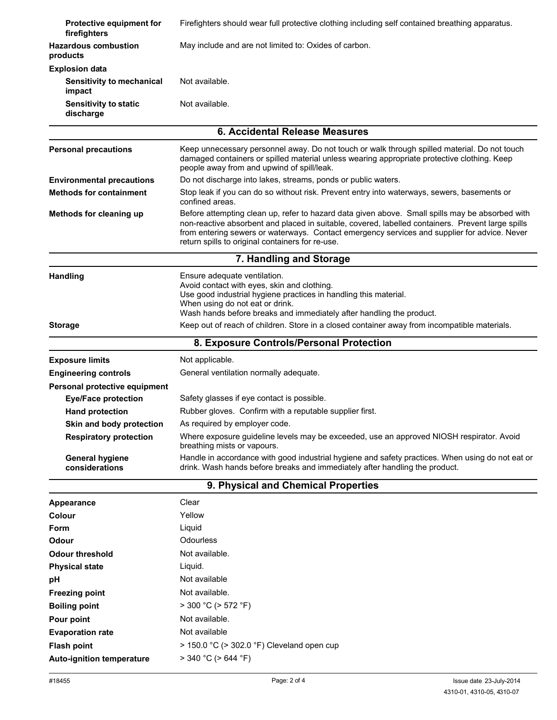| Protective equipment for<br>firefighters   | Firefighters should wear full protective clothing including self contained breathing apparatus.                                                                                                                                                                                                                                                          |  |  |  |  |  |
|--------------------------------------------|----------------------------------------------------------------------------------------------------------------------------------------------------------------------------------------------------------------------------------------------------------------------------------------------------------------------------------------------------------|--|--|--|--|--|
| <b>Hazardous combustion</b><br>products    | May include and are not limited to: Oxides of carbon.                                                                                                                                                                                                                                                                                                    |  |  |  |  |  |
| <b>Explosion data</b>                      |                                                                                                                                                                                                                                                                                                                                                          |  |  |  |  |  |
| <b>Sensitivity to mechanical</b><br>impact | Not available.                                                                                                                                                                                                                                                                                                                                           |  |  |  |  |  |
| <b>Sensitivity to static</b><br>discharge  | Not available.                                                                                                                                                                                                                                                                                                                                           |  |  |  |  |  |
| 6. Accidental Release Measures             |                                                                                                                                                                                                                                                                                                                                                          |  |  |  |  |  |
| <b>Personal precautions</b>                | Keep unnecessary personnel away. Do not touch or walk through spilled material. Do not touch<br>damaged containers or spilled material unless wearing appropriate protective clothing. Keep<br>people away from and upwind of spill/leak.                                                                                                                |  |  |  |  |  |
| <b>Environmental precautions</b>           | Do not discharge into lakes, streams, ponds or public waters.                                                                                                                                                                                                                                                                                            |  |  |  |  |  |
| <b>Methods for containment</b>             | Stop leak if you can do so without risk. Prevent entry into waterways, sewers, basements or<br>confined areas.                                                                                                                                                                                                                                           |  |  |  |  |  |
| Methods for cleaning up                    | Before attempting clean up, refer to hazard data given above. Small spills may be absorbed with<br>non-reactive absorbent and placed in suitable, covered, labelled containers. Prevent large spills<br>from entering sewers or waterways. Contact emergency services and supplier for advice. Never<br>return spills to original containers for re-use. |  |  |  |  |  |
| 7. Handling and Storage                    |                                                                                                                                                                                                                                                                                                                                                          |  |  |  |  |  |
| <b>Handling</b>                            | Ensure adequate ventilation.<br>Avoid contact with eyes, skin and clothing.<br>Use good industrial hygiene practices in handling this material.<br>When using do not eat or drink.<br>Wash hands before breaks and immediately after handling the product.                                                                                               |  |  |  |  |  |
| <b>Storage</b>                             | Keep out of reach of children. Store in a closed container away from incompatible materials.                                                                                                                                                                                                                                                             |  |  |  |  |  |
|                                            | 8. Exposure Controls/Personal Protection                                                                                                                                                                                                                                                                                                                 |  |  |  |  |  |
| <b>Exposure limits</b>                     | Not applicable.                                                                                                                                                                                                                                                                                                                                          |  |  |  |  |  |
| <b>Engineering controls</b>                | General ventilation normally adequate.                                                                                                                                                                                                                                                                                                                   |  |  |  |  |  |
| Personal protective equipment              |                                                                                                                                                                                                                                                                                                                                                          |  |  |  |  |  |
| <b>Eye/Face protection</b>                 | Safety glasses if eye contact is possible.                                                                                                                                                                                                                                                                                                               |  |  |  |  |  |
| <b>Hand protection</b>                     | Rubber gloves. Confirm with a reputable supplier first.                                                                                                                                                                                                                                                                                                  |  |  |  |  |  |
| Skin and body protection                   | As required by employer code.                                                                                                                                                                                                                                                                                                                            |  |  |  |  |  |
| <b>Respiratory protection</b>              | Where exposure guideline levels may be exceeded, use an approved NIOSH respirator. Avoid<br>breathing mists or vapours.                                                                                                                                                                                                                                  |  |  |  |  |  |
| <b>General hygiene</b><br>considerations   | Handle in accordance with good industrial hygiene and safety practices. When using do not eat or<br>drink. Wash hands before breaks and immediately after handling the product.                                                                                                                                                                          |  |  |  |  |  |
| 9. Physical and Chemical Properties        |                                                                                                                                                                                                                                                                                                                                                          |  |  |  |  |  |
| Appearance                                 | Clear                                                                                                                                                                                                                                                                                                                                                    |  |  |  |  |  |
| Colour                                     | Yellow                                                                                                                                                                                                                                                                                                                                                   |  |  |  |  |  |
| Form                                       | Liquid                                                                                                                                                                                                                                                                                                                                                   |  |  |  |  |  |
| Odour                                      | Odourless                                                                                                                                                                                                                                                                                                                                                |  |  |  |  |  |
| <b>Odour threshold</b>                     | Not available.                                                                                                                                                                                                                                                                                                                                           |  |  |  |  |  |
| <b>Physical state</b>                      | Liquid.                                                                                                                                                                                                                                                                                                                                                  |  |  |  |  |  |
| рH                                         | Not available                                                                                                                                                                                                                                                                                                                                            |  |  |  |  |  |
| <b>Freezing point</b>                      | Not available.                                                                                                                                                                                                                                                                                                                                           |  |  |  |  |  |
| <b>Boiling point</b>                       | $>$ 300 °C ( $>$ 572 °F)                                                                                                                                                                                                                                                                                                                                 |  |  |  |  |  |
| Pour point                                 | Not available.                                                                                                                                                                                                                                                                                                                                           |  |  |  |  |  |
| <b>Evaporation rate</b>                    | Not available                                                                                                                                                                                                                                                                                                                                            |  |  |  |  |  |
| <b>Flash point</b>                         | $>$ 150.0 °C ( $>$ 302.0 °F) Cleveland open cup                                                                                                                                                                                                                                                                                                          |  |  |  |  |  |
| Auto-ignition temperature                  | $>$ 340 °C ( $>$ 644 °F)                                                                                                                                                                                                                                                                                                                                 |  |  |  |  |  |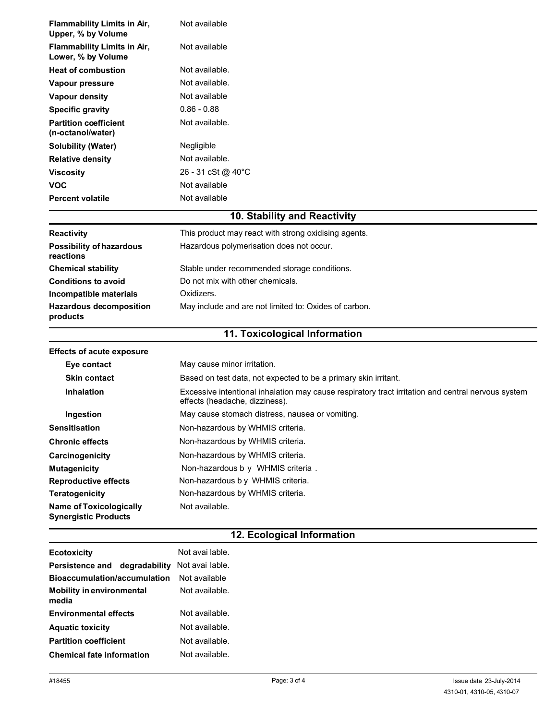| <b>Flammability Limits in Air,</b><br>Upper, % by Volume      | Not available                                                                                                                        |  |  |  |  |
|---------------------------------------------------------------|--------------------------------------------------------------------------------------------------------------------------------------|--|--|--|--|
| Flammability Limits in Air,<br>Lower, % by Volume             | Not available                                                                                                                        |  |  |  |  |
| <b>Heat of combustion</b>                                     | Not available.                                                                                                                       |  |  |  |  |
| Vapour pressure                                               | Not available.                                                                                                                       |  |  |  |  |
| <b>Vapour density</b>                                         | Not available                                                                                                                        |  |  |  |  |
| <b>Specific gravity</b>                                       | $0.86 - 0.88$                                                                                                                        |  |  |  |  |
| <b>Partition coefficient</b><br>(n-octanol/water)             | Not available.                                                                                                                       |  |  |  |  |
| <b>Solubility (Water)</b>                                     | Negligible                                                                                                                           |  |  |  |  |
| <b>Relative density</b>                                       | Not available.                                                                                                                       |  |  |  |  |
| <b>Viscosity</b>                                              | 26 - 31 cSt @ 40°C                                                                                                                   |  |  |  |  |
| <b>VOC</b>                                                    | Not available                                                                                                                        |  |  |  |  |
| <b>Percent volatile</b>                                       | Not available                                                                                                                        |  |  |  |  |
|                                                               | 10. Stability and Reactivity                                                                                                         |  |  |  |  |
| Reactivity                                                    | This product may react with strong oxidising agents.                                                                                 |  |  |  |  |
| <b>Possibility of hazardous</b><br>reactions                  | Hazardous polymerisation does not occur.                                                                                             |  |  |  |  |
| <b>Chemical stability</b>                                     | Stable under recommended storage conditions.                                                                                         |  |  |  |  |
| <b>Conditions to avoid</b>                                    | Do not mix with other chemicals.                                                                                                     |  |  |  |  |
| Incompatible materials                                        | Oxidizers.                                                                                                                           |  |  |  |  |
| <b>Hazardous decomposition</b><br>products                    | May include and are not limited to: Oxides of carbon.                                                                                |  |  |  |  |
|                                                               | 11. Toxicological Information                                                                                                        |  |  |  |  |
| <b>Effects of acute exposure</b>                              |                                                                                                                                      |  |  |  |  |
| Eye contact                                                   | May cause minor irritation.                                                                                                          |  |  |  |  |
| <b>Skin contact</b>                                           | Based on test data, not expected to be a primary skin irritant.                                                                      |  |  |  |  |
| <b>Inhalation</b>                                             | Excessive intentional inhalation may cause respiratory tract irritation and central nervous system<br>effects (headache, dizziness). |  |  |  |  |
| Ingestion                                                     | May cause stomach distress, nausea or vomiting.                                                                                      |  |  |  |  |
| <b>Sensitisation</b>                                          | Non-hazardous by WHMIS criteria.                                                                                                     |  |  |  |  |
| <b>Chronic effects</b>                                        | Non-hazardous by WHMIS criteria.                                                                                                     |  |  |  |  |
| Carcinogenicity                                               | Non-hazardous by WHMIS criteria.                                                                                                     |  |  |  |  |
| <b>Mutagenicity</b>                                           | Non-hazardous b y WHMIS criteria.                                                                                                    |  |  |  |  |
| <b>Reproductive effects</b>                                   | Non-hazardous b y WHMIS criteria.                                                                                                    |  |  |  |  |
| <b>Teratogenicity</b>                                         | Non-hazardous by WHMIS criteria.                                                                                                     |  |  |  |  |
| <b>Name of Toxicologically</b><br><b>Synergistic Products</b> | Not available.                                                                                                                       |  |  |  |  |

## **12. Ecological Information**

| <b>Ecotoxicity</b>                        | Not avai lable. |
|-------------------------------------------|-----------------|
| degradability<br><b>Persistence and</b>   | Not avai lable. |
| Bioaccumulation/accumulation              | Not available   |
| <b>Mobility in environmental</b><br>media | Not available.  |
| <b>Environmental effects</b>              | Not available.  |
| <b>Aquatic toxicity</b>                   | Not available.  |
| <b>Partition coefficient</b>              | Not available.  |
| <b>Chemical fate information</b>          | Not available.  |